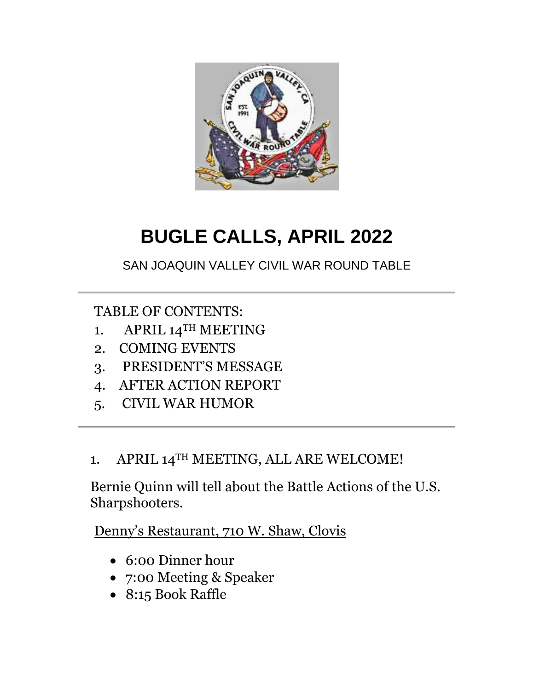

# **BUGLE CALLS, APRIL 2022**

SAN JOAQUIN VALLEY CIVIL WAR ROUND TABLE

TABLE OF CONTENTS:

- 1. APRIL 14TH MEETING
- 2. COMING EVENTS
- 3. PRESIDENT"S MESSAGE
- 4. AFTER ACTION REPORT
- 5. CIVIL WAR HUMOR

## 1. APRIL 14TH MEETING, ALL ARE WELCOME!

Bernie Quinn will tell about the Battle Actions of the U.S. Sharpshooters.

Denny's Restaurant, 710 W. Shaw, Clovis

- 6:00 Dinner hour
- 7:00 Meeting & Speaker
- 8:15 Book Raffle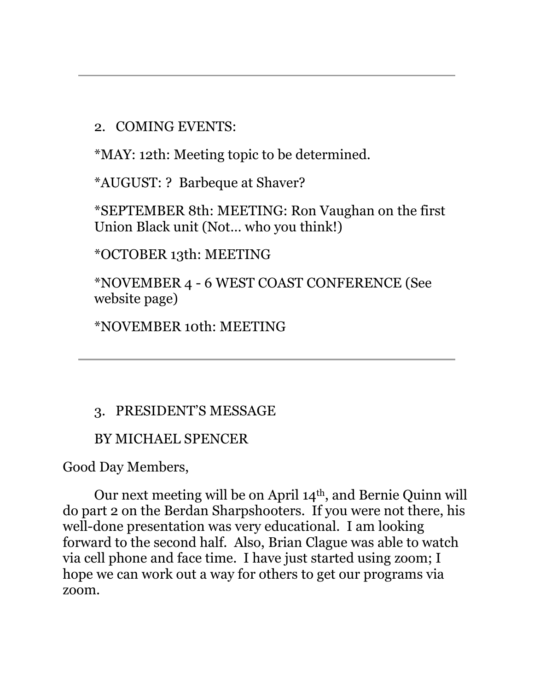2. COMING EVENTS:

\*MAY: 12th: Meeting topic to be determined.

\*AUGUST: ? Barbeque at Shaver?

\*SEPTEMBER 8th: MEETING: Ron Vaughan on the first Union Black unit (Not… who you think!)

\*OCTOBER 13th: MEETING

\*NOVEMBER 4 - 6 WEST COAST CONFERENCE (See website page)

\*NOVEMBER 10th: MEETING

## 3. PRESIDENT"S MESSAGE

## BY MICHAEL SPENCER

Good Day Members,

Our next meeting will be on April 14th, and Bernie Quinn will do part 2 on the Berdan Sharpshooters. If you were not there, his well-done presentation was very educational. I am looking forward to the second half. Also, Brian Clague was able to watch via cell phone and face time. I have just started using zoom; I hope we can work out a way for others to get our programs via zoom.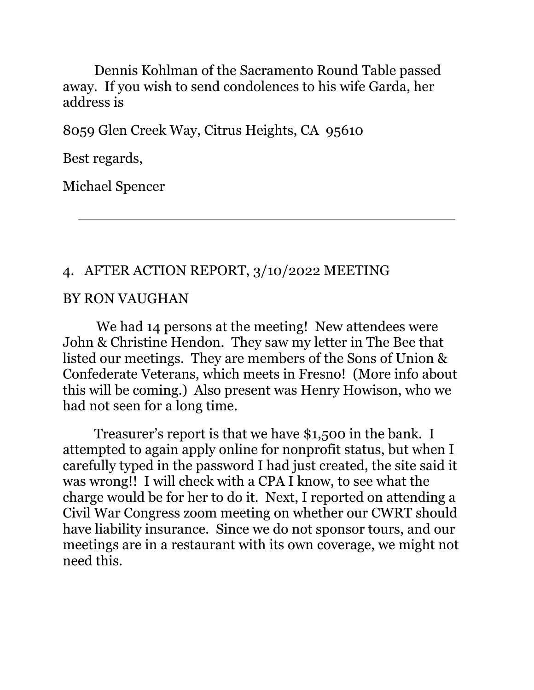Dennis Kohlman of the Sacramento Round Table passed away. If you wish to send condolences to his wife Garda, her address is

8059 Glen Creek Way, Citrus Heights, CA 95610

Best regards,

Michael Spencer

#### 4. AFTER ACTION REPORT, 3/10/2022 MEETING

#### BY RON VAUGHAN

We had 14 persons at the meeting! New attendees were John & Christine Hendon. They saw my letter in The Bee that listed our meetings. They are members of the Sons of Union & Confederate Veterans, which meets in Fresno! (More info about this will be coming.) Also present was Henry Howison, who we had not seen for a long time.

Treasurer's report is that we have \$1,500 in the bank. I attempted to again apply online for nonprofit status, but when I carefully typed in the password I had just created, the site said it was wrong!! I will check with a CPA I know, to see what the charge would be for her to do it. Next, I reported on attending a Civil War Congress zoom meeting on whether our CWRT should have liability insurance. Since we do not sponsor tours, and our meetings are in a restaurant with its own coverage, we might not need this.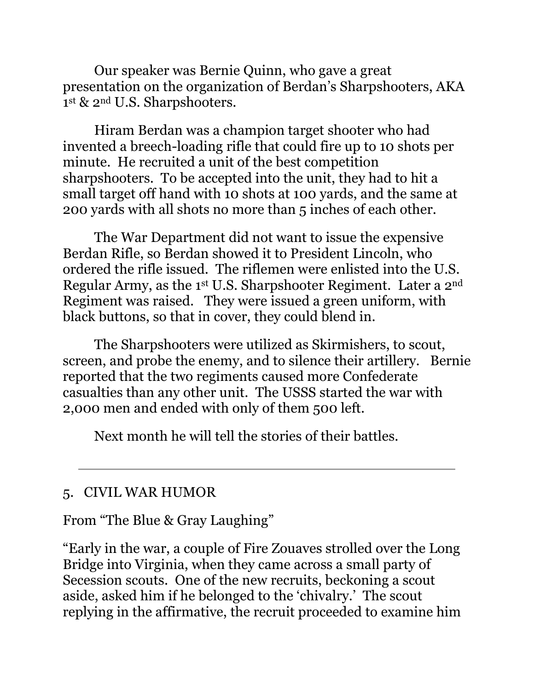Our speaker was Bernie Quinn, who gave a great presentation on the organization of Berdan"s Sharpshooters, AKA 1<sup>st</sup> & 2<sup>nd</sup> U.S. Sharpshooters.

Hiram Berdan was a champion target shooter who had invented a breech-loading rifle that could fire up to 10 shots per minute. He recruited a unit of the best competition sharpshooters. To be accepted into the unit, they had to hit a small target off hand with 10 shots at 100 yards, and the same at 200 yards with all shots no more than 5 inches of each other.

The War Department did not want to issue the expensive Berdan Rifle, so Berdan showed it to President Lincoln, who ordered the rifle issued. The riflemen were enlisted into the U.S. Regular Army, as the 1st U.S. Sharpshooter Regiment. Later a 2nd Regiment was raised. They were issued a green uniform, with black buttons, so that in cover, they could blend in.

The Sharpshooters were utilized as Skirmishers, to scout, screen, and probe the enemy, and to silence their artillery. Bernie reported that the two regiments caused more Confederate casualties than any other unit. The USSS started the war with 2,000 men and ended with only of them 500 left.

Next month he will tell the stories of their battles.

## 5. CIVIL WAR HUMOR

From "The Blue & Gray Laughing"

"Early in the war, a couple of Fire Zouaves strolled over the Long Bridge into Virginia, when they came across a small party of Secession scouts. One of the new recruits, beckoning a scout aside, asked him if he belonged to the "chivalry." The scout replying in the affirmative, the recruit proceeded to examine him